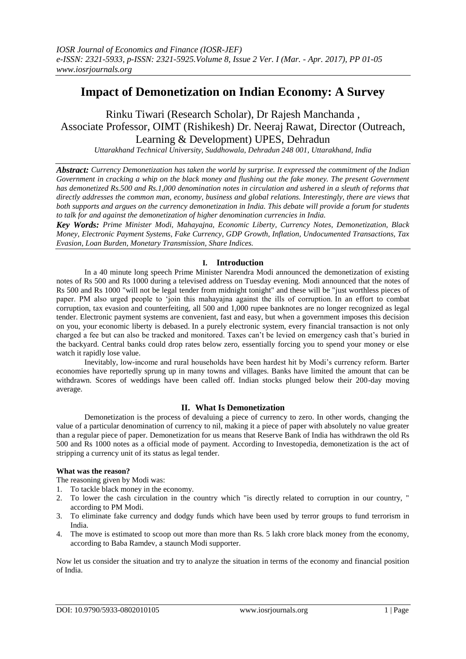# **Impact of Demonetization on Indian Economy: A Survey**

# Rinku Tiwari (Research Scholar), Dr Rajesh Manchanda , Associate Professor, OIMT (Rishikesh) Dr. Neeraj Rawat, Director (Outreach, Learning & Development) UPES, Dehradun

*Uttarakhand Technical University, Suddhowala, Dehradun 248 001, Uttarakhand, India*

*Abstract: Currency Demonetization has taken the world by surprise. It expressed the commitment of the Indian Government in cracking a whip on the black money and flushing out the fake money. The present Government has demonetized Rs.500 and Rs.1,000 denomination notes in circulation and ushered in a sleuth of reforms that directly addresses the common man, economy, business and global relations. Interestingly, there are views that both supports and argues on the currency demonetization in India. This debate will provide a forum for students to talk for and against the demonetization of higher denomination currencies in India.*

*Key Words: Prime Minister Modi, Mahayajna, Economic Liberty, Currency Notes, Demonetization, Black Money, Electronic Payment Systems, Fake Currency, GDP Growth, Inflation, Undocumented Transactions, Tax Evasion, Loan Burden, Monetary Transmission, Share Indices.*

## **I. Introduction**

In a 40 minute long speech Prime Minister Narendra Modi announced the demonetization of existing notes of Rs 500 and Rs 1000 during a televised address on Tuesday evening. Modi announced that the notes of Rs 500 and Rs 1000 "will not be legal tender from midnight tonight" and these will be "just worthless pieces of paper. PM also urged people to 'join this mahayajna against the ills of corruption. In an effort to combat corruption, tax evasion and counterfeiting, all 500 and 1,000 rupee banknotes are no longer recognized as legal tender. Electronic payment systems are convenient, fast and easy, but when a government imposes this decision on you, your [economic](http://www.usfunds.com/investor-library/frank-talk/sweden-declares-war-on-cash-punishes-savers-with-negative-interest-rates) liberty is debased. In a purely electronic system, every financial transaction is not only charged a fee but can also be tracked and monitored. Taxes can't be levied on emergency cash that's buried in the backyard. Central banks could drop rates below zero, essentially forcing you to spend your money or else watch it rapidly lose value.

Inevitably, low-income and rural households have been hardest hit by Modi's currency reform. Barter economies have reportedly sprung up in many towns and villages. Banks have limited the amount that can be withdrawn. Scores of weddings have been called off. Indian stocks plunged below their 200-day moving average.

## **II. What Is Demonetization**

Demonetization is the process of devaluing a piece of currency to zero. In other words, changing the value of a particular denomination of currency to nil, making it a piece of paper with absolutely no value greater than a regular piece of paper. Demonetization for us means that Reserve Bank of India has withdrawn the old Rs 500 and Rs 1000 notes as a official mode of payment. According to Investopedia, demonetization is the act of stripping a currency unit of its status as legal tender.

## **What was the reason?**

The reasoning given by Modi was:

- 1. To tackle black money in the economy.
- 2. To lower the cash circulation in the country which "is directly related to corruption in our country, " according to PM Modi.
- 3. To eliminate fake currency and dodgy funds which have been used by terror groups to fund terrorism in India.
- 4. The move is estimated to scoop out more than more than Rs. 5 lakh crore black money from the economy, according to Baba Ramdev, a staunch Modi supporter.

Now let us consider the situation and try to analyze the situation in terms of the economy and financial position of India.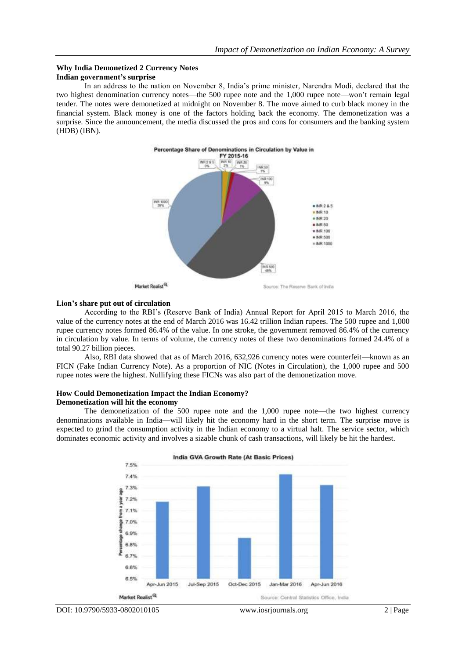### **Why India Demonetized 2 Currency Notes Indian government's surprise**

In an address to the nation on November 8, India's prime minister, Narendra Modi, declared that the two highest denomination currency notes—the 500 rupee note and the 1,000 rupee note—won't remain legal tender. The notes were demonetized at midnight on November 8. The move aimed to curb black money in the financial system. Black money is one of the factors holding back the economy. The demonetization was a surprise. Since the announcement, the media discussed the pros and cons for consumers and the banking system [\(HDB\)](http://marketrealist.com/quote-page/hdb/) [\(IBN\)](http://marketrealist.com/quote-page/ibn/).



## **Lion's share put out of circulation**

According to the RBI's (Reserve Bank of India) Annual Report for April 2015 to March 2016, the value of the currency notes at the end of March 2016 was 16.42 trillion Indian rupees. The 500 rupee and 1,000 rupee currency notes formed 86.4% of the value. In one stroke, the government removed 86.4% of the currency in circulation by value. In terms of volume, the currency notes of these two denominations formed 24.4% of a total 90.27 billion pieces.

Also, RBI data showed that as of March 2016, 632,926 currency notes were counterfeit—known as an FICN (Fake Indian Currency Note). As a proportion of NIC (Notes in Circulation), the 1,000 rupee and 500 rupee notes were the highest. Nullifying these FICNs was also part of the demonetization move.

## **How Could Demonetization Impact the Indian Economy? Demonetization will hit the economy**

The demonetization of the 500 rupee note and the 1,000 rupee note—the two highest currency denominations available in India—will likely hit the economy hard in the short term. The surprise move is expected to grind the consumption activity in the Indian economy to a virtual halt. The service sector, which dominates economic activity and involves a sizable chunk of cash transactions, will likely be hit the hardest.

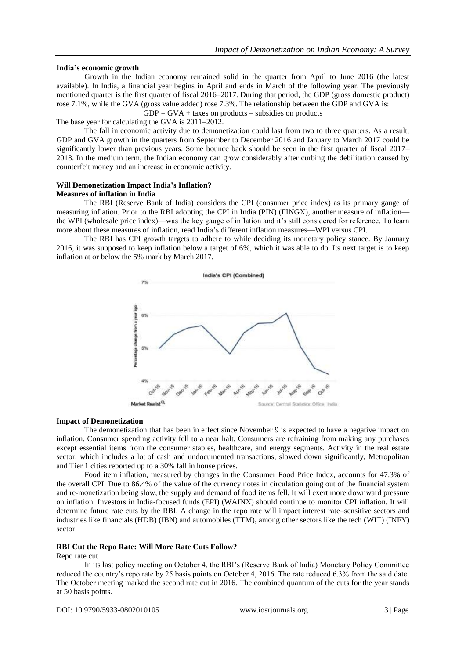## **India's economic growth**

Growth in the Indian economy remained solid in the quarter from April to June 2016 (the latest available). In India, a financial year begins in April and ends in March of the following year. The previously mentioned quarter is the first quarter of fiscal 2016–2017. During that period, the GDP (gross domestic product) rose 7.1%, while the GVA (gross value added) rose 7.3%. The relationship between the GDP and GVA is:

 $GDP = GVA + \text{taxes on products} - \text{subsidies on products}$ 

The base year for calculating the GVA is 2011–2012.

The fall in economic activity due to demonetization could last from two to three quarters. As a result, GDP and GVA growth in the quarters from September to December 2016 and January to March 2017 could be significantly lower than previous years. Some bounce back should be seen in the first quarter of fiscal 2017– 2018. In the medium term, the Indian economy can grow considerably after curbing the debilitation caused by counterfeit money and an increase in economic activity.

#### **Will Demonetization Impact India's Inflation? Measures of inflation in India**

The RBI (Reserve Bank of India) considers the CPI (consumer price index) as its primary gauge of measuring inflation. Prior to the RBI adopting the CPI in India [\(PIN\)](http://marketrealist.com/quote-page/pin/) (FINGX), another measure of inflation the WPI (wholesale price index)—was the key gauge of inflation and it's still considered for reference. To learn more about these measures of inflation, read India's different inflation [measures—WPI](http://marketrealist.com/2014/11/indias-different-inflation-measures-wpi-versus-cpi/) versus CPI.

The RBI has CPI growth targets to adhere to while deciding its monetary policy stance. By January 2016, it was supposed to keep inflation below a target of 6%, which it was able to do. Its next target is to keep inflation at or below the 5% mark by March 2017.



#### **Impact of Demonetization**

The demonetization that has been in effect since November 9 is expected to have a negative impact on inflation. Consumer spending activity fell to a near halt. Consumers are refraining from making any purchases except essential items from the consumer staples, healthcare, and energy segments. Activity in the real estate sector, which includes a lot of cash and undocumented transactions, slowed down significantly, Metropolitan and Tier 1 cities reported up to a 30% fall in house prices.

Food item inflation, measured by changes in the Consumer Food Price Index, accounts for 47.3% of the overall CPI. Due to 86.4% of the value of the currency notes in circulation going out of the financial system and re-monetization being slow, the supply and demand of food items fell. It will exert more downward pressure on inflation. Investors in India-focused funds [\(EPI\)](http://marketrealist.com/quote-page/epi/) [\(WAINX\)](http://marketrealist.com/quote-page/wainx/) should continue to monitor CPI inflation. It will determine future rate cuts by the RBI. A change in the repo rate will impact interest rate–sensitive sectors and industries like financials [\(HDB\)](http://marketrealist.com/quote-page/hdb/) [\(IBN\)](http://marketrealist.com/quote-page/ibn/) and automobiles [\(TTM\)](http://marketrealist.com/quote-page/ttm/), among other sectors like the tech [\(WIT\)](http://marketrealist.com/quote-page/wit/) (INFY) sector.

## **RBI Cut the Repo Rate: Will More Rate Cuts Follow?**

Repo rate cut

In its last policy meeting on October 4, the RBI's (Reserve Bank of India) Monetary Policy Committee reduced the country's repo rate by 25 basis points on October 4, 2016. The rate reduced 6.3% from the said date. The October meeting marked the second rate cut in 2016. The combined quantum of the cuts for the year stands at 50 basis points.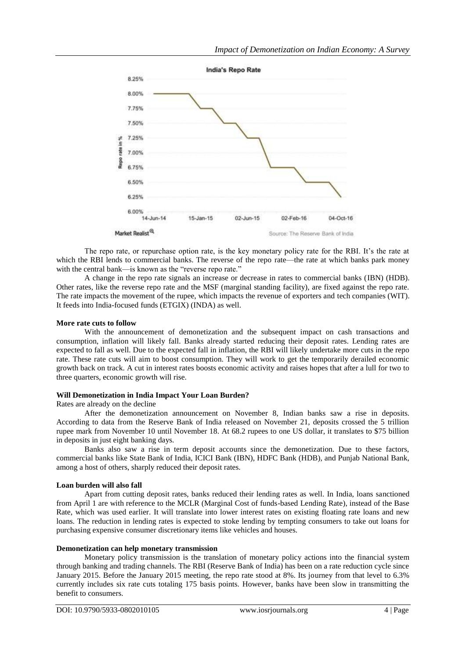

The repo rate, or repurchase option rate, is the key monetary policy rate for the RBI. It's the rate at which the RBI lends to commercial banks. The reverse of the repo rate—the rate at which banks park money with the central bank—is known as the "reverse repo rate."

A change in the repo rate signals an increase or decrease in rates to commercial banks [\(IBN\)](http://marketrealist.com/quote-page/ibn/) [\(HDB\)](http://marketrealist.com/quote-page/hdb/). Other rates, like the reverse repo rate and the MSF (marginal standing facility), are fixed against the repo rate. The rate impacts the movement of the rupee, which impacts the revenue of exporters and tech companies [\(WIT\)](http://marketrealist.com/quote-page/wit/). It feeds into India-focused funds [\(ETGIX\)](http://marketrealist.com/quote-page/etgix/) [\(INDA\)](http://marketrealist.com/quote-page/inda/) as well.

## **More rate cuts to follow**

With the announcement of demonetization and the subsequent impact on cash transactions and consumption, inflation will likely fall. Banks already started reducing their deposit rates. Lending rates are expected to fall as well. Due to the expected fall in inflation, the RBI will likely undertake more cuts in the repo rate. These rate cuts will aim to boost consumption. They will work to get the temporarily derailed economic growth back on track. A cut in interest rates boosts economic activity and raises hopes that after a lull for two to three quarters, economic growth will rise.

#### **Will Demonetization in India Impact Your Loan Burden?**

Rates are already on the decline

After the demonetization announcement on November 8, Indian banks saw a rise in deposits. According to data from the Reserve Bank of India released on November 21, deposits crossed the 5 trillion rupee mark from November 10 until November 18. At 68.2 rupees to one US dollar, it translates to \$75 billion in deposits in just eight banking days.

Banks also saw a rise in term deposit accounts since the demonetization. Due to these factors, commercial banks like State Bank of India, ICICI Bank [\(IBN\)](http://marketrealist.com/quote-page/ibn/), HDFC Bank [\(HDB\)](http://marketrealist.com/quote-page/hdb/), and Punjab National Bank, among a host of others, sharply reduced their deposit rates.

## **Loan burden will also fall**

Apart from cutting deposit rates, banks reduced their lending rates as well. In India, loans sanctioned from April 1 are with reference to the MCLR (Marginal Cost of funds-based Lending Rate), instead of the Base Rate, which was used earlier. It will translate into lower interest rates on existing floating rate loans and new loans. The reduction in lending rates is expected to stoke lending by tempting consumers to take out loans for purchasing expensive consumer discretionary items like vehicles and houses.

### **Demonetization can help monetary transmission**

Monetary policy transmission is the translation of monetary policy actions into the financial system through banking and trading channels. The RBI (Reserve Bank of India) has been on a rate reduction cycle since January 2015. Before the January 2015 meeting, the repo rate stood at 8%. Its journey from that level to 6.3% currently includes six rate cuts totaling 175 basis points. However, banks have been slow in transmitting the benefit to consumers.